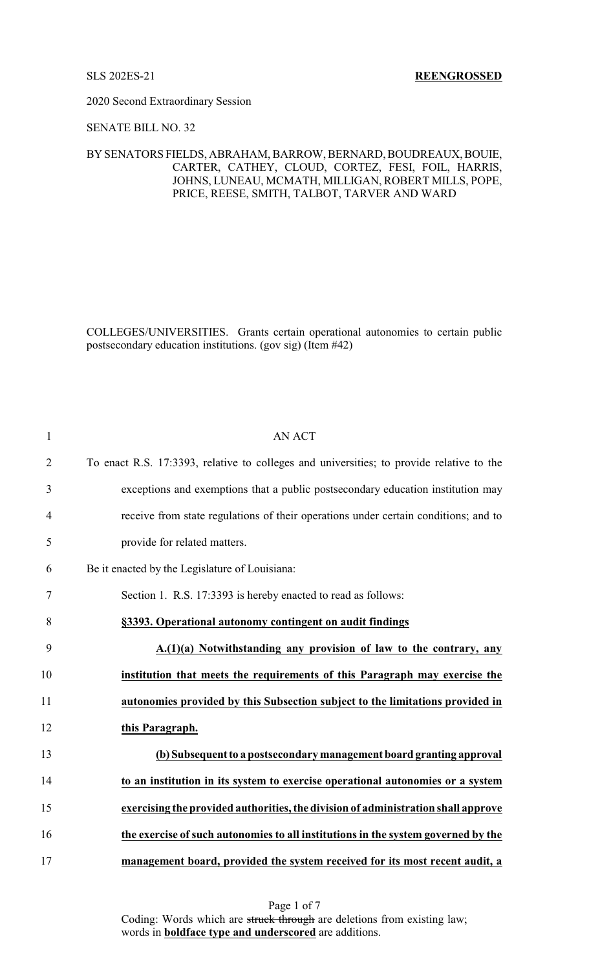2020 Second Extraordinary Session

## SENATE BILL NO. 32

## BYSENATORS FIELDS, ABRAHAM, BARROW, BERNARD, BOUDREAUX, BOUIE, CARTER, CATHEY, CLOUD, CORTEZ, FESI, FOIL, HARRIS, JOHNS, LUNEAU, MCMATH, MILLIGAN, ROBERT MILLS, POPE, PRICE, REESE, SMITH, TALBOT, TARVER AND WARD

COLLEGES/UNIVERSITIES. Grants certain operational autonomies to certain public postsecondary education institutions. (gov sig) (Item #42)

| $\mathbf{1}$   | <b>AN ACT</b>                                                                            |
|----------------|------------------------------------------------------------------------------------------|
| $\overline{2}$ | To enact R.S. 17:3393, relative to colleges and universities; to provide relative to the |
| 3              | exceptions and exemptions that a public postsecondary education institution may          |
| $\overline{4}$ | receive from state regulations of their operations under certain conditions; and to      |
| 5              | provide for related matters.                                                             |
| 6              | Be it enacted by the Legislature of Louisiana:                                           |
| 7              | Section 1. R.S. 17:3393 is hereby enacted to read as follows:                            |
| 8              | §3393. Operational autonomy contingent on audit findings                                 |
| 9              | A.(1)(a) Notwithstanding any provision of law to the contrary, any                       |
| 10             | institution that meets the requirements of this Paragraph may exercise the               |
| 11             | autonomies provided by this Subsection subject to the limitations provided in            |
| 12             | this Paragraph.                                                                          |
| 13             | (b) Subsequent to a postsecondary management board granting approval                     |
| 14             | to an institution in its system to exercise operational autonomies or a system           |
| 15             | exercising the provided authorities, the division of administration shall approve        |
| 16             | the exercise of such autonomies to all institutions in the system governed by the        |
| 17             | management board, provided the system received for its most recent audit, a              |

Page 1 of 7 Coding: Words which are struck through are deletions from existing law; words in **boldface type and underscored** are additions.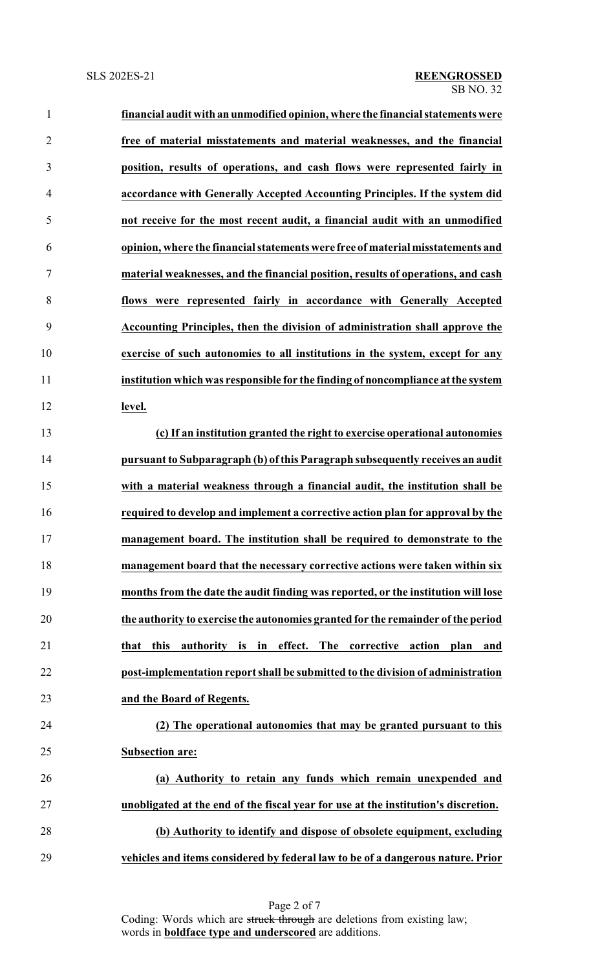| $\mathbf{1}$   | financial audit with an unmodified opinion, where the financial statements were    |
|----------------|------------------------------------------------------------------------------------|
| $\overline{2}$ | free of material misstatements and material weaknesses, and the financial          |
| 3              | position, results of operations, and cash flows were represented fairly in         |
| $\overline{4}$ | accordance with Generally Accepted Accounting Principles. If the system did        |
| 5              | not receive for the most recent audit, a financial audit with an unmodified        |
| 6              | opinion, where the financial statements were free of material misstatements and    |
| 7              | material weaknesses, and the financial position, results of operations, and cash   |
| 8              | flows were represented fairly in accordance with Generally Accepted                |
| 9              | Accounting Principles, then the division of administration shall approve the       |
| 10             | exercise of such autonomies to all institutions in the system, except for any      |
| 11             | institution which was responsible for the finding of noncompliance at the system   |
| 12             | level.                                                                             |
| 13             | (c) If an institution granted the right to exercise operational autonomies         |
| 14             | pursuant to Subparagraph (b) of this Paragraph subsequently receives an audit      |
| 15             | with a material weakness through a financial audit, the institution shall be       |
| 16             | required to develop and implement a corrective action plan for approval by the     |
| 17             | management board. The institution shall be required to demonstrate to the          |
| 18             | management board that the necessary corrective actions were taken within six       |
| 19             | months from the date the audit finding was reported, or the institution will lose  |
| 20             | the authority to exercise the autonomies granted for the remainder of the period   |
| 21             | authority is in effect. The corrective action plan and<br>that this                |
| 22             | post-implementation report shall be submitted to the division of administration    |
| 23             | and the Board of Regents.                                                          |
| 24             | (2) The operational autonomies that may be granted pursuant to this                |
| 25             | <b>Subsection are:</b>                                                             |
| 26             | (a) Authority to retain any funds which remain unexpended and                      |
| 27             | unobligated at the end of the fiscal year for use at the institution's discretion. |
| 28             | (b) Authority to identify and dispose of obsolete equipment, excluding             |
| 29             | vehicles and items considered by federal law to be of a dangerous nature. Prior    |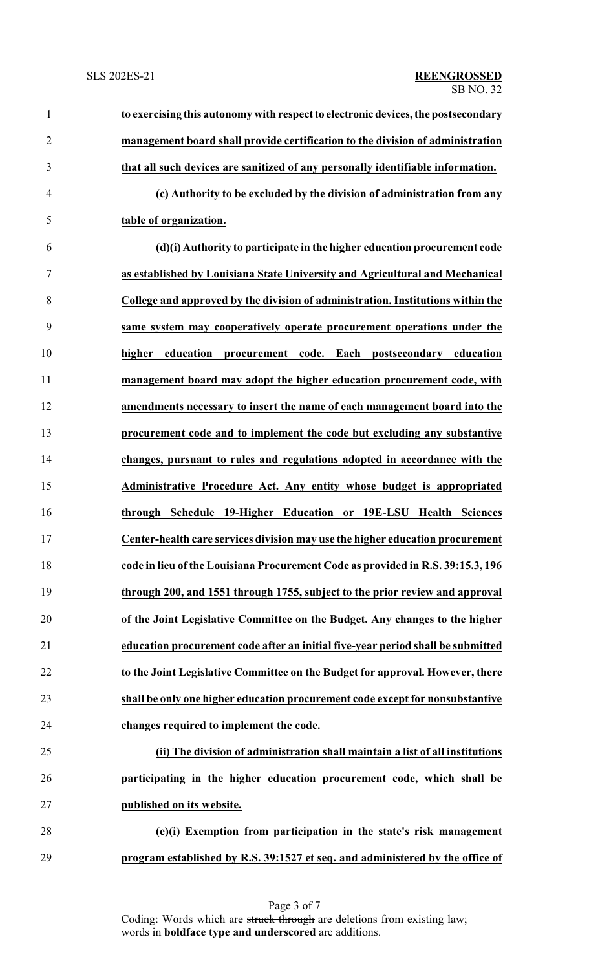| $\mathbf{1}$   | to exercising this autonomy with respect to electronic devices, the postsecondary |
|----------------|-----------------------------------------------------------------------------------|
| $\overline{2}$ | management board shall provide certification to the division of administration    |
| 3              | that all such devices are sanitized of any personally identifiable information.   |
| $\overline{4}$ | (c) Authority to be excluded by the division of administration from any           |
| 5              | table of organization.                                                            |
| 6              | (d)(i) Authority to participate in the higher education procurement code          |
| 7              | as established by Louisiana State University and Agricultural and Mechanical      |
| 8              | College and approved by the division of administration. Institutions within the   |
| 9              | same system may cooperatively operate procurement operations under the            |
| 10             | higher education<br>procurement code. Each postsecondary education                |
| 11             | management board may adopt the higher education procurement code, with            |
| 12             | amendments necessary to insert the name of each management board into the         |
| 13             | procurement code and to implement the code but excluding any substantive          |
| 14             | changes, pursuant to rules and regulations adopted in accordance with the         |
| 15             | Administrative Procedure Act. Any entity whose budget is appropriated             |
| 16             | through Schedule 19-Higher Education or 19E-LSU Health Sciences                   |
| 17             | Center-health care services division may use the higher education procurement     |
| 18             | code in lieu of the Louisiana Procurement Code as provided in R.S. 39:15.3, 196   |
| 19             | through 200, and 1551 through 1755, subject to the prior review and approval      |
| 20             | of the Joint Legislative Committee on the Budget. Any changes to the higher       |
| 21             | education procurement code after an initial five-year period shall be submitted   |
| 22             | to the Joint Legislative Committee on the Budget for approval. However, there     |
| 23             | shall be only one higher education procurement code except for nonsubstantive     |
| 24             | changes required to implement the code.                                           |
| 25             | (ii) The division of administration shall maintain a list of all institutions     |
| 26             | participating in the higher education procurement code, which shall be            |
| 27             | published on its website.                                                         |
| 28             | (e)(i) Exemption from participation in the state's risk management                |
| 29             | program established by R.S. 39:1527 et seq. and administered by the office of     |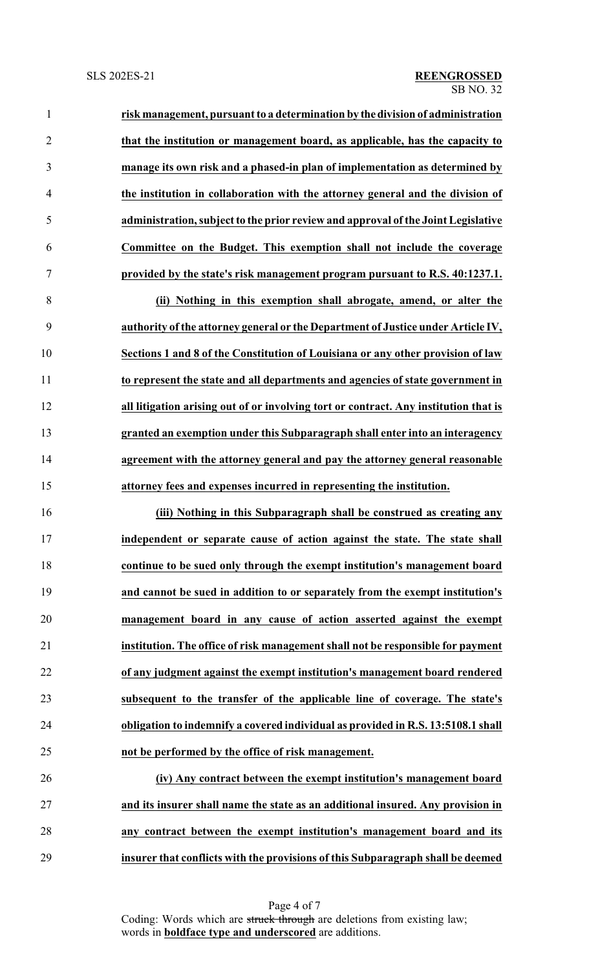| $\mathbf{1}$   | risk management, pursuant to a determination by the division of administration    |
|----------------|-----------------------------------------------------------------------------------|
| 2              | that the institution or management board, as applicable, has the capacity to      |
| $\overline{3}$ | manage its own risk and a phased-in plan of implementation as determined by       |
| $\overline{4}$ | the institution in collaboration with the attorney general and the division of    |
| 5              | administration, subject to the prior review and approval of the Joint Legislative |
| 6              | Committee on the Budget. This exemption shall not include the coverage            |
| 7              | provided by the state's risk management program pursuant to R.S. 40:1237.1.       |
| 8              | (ii) Nothing in this exemption shall abrogate, amend, or alter the                |
| 9              | authority of the attorney general or the Department of Justice under Article IV,  |
| 10             | Sections 1 and 8 of the Constitution of Louisiana or any other provision of law   |
| 11             | to represent the state and all departments and agencies of state government in    |
|                |                                                                                   |

 **all litigation arising out of or involving tort or contract. Any institution that is granted an exemption under this Subparagraph shall enter into an interagency agreement with the attorney general and pay the attorney general reasonable attorney fees and expenses incurred in representing the institution.**

 **(iii) Nothing in this Subparagraph shall be construed as creating any independent or separate cause of action against the state. The state shall continue to be sued only through the exempt institution's management board and cannot be sued in addition to or separately from the exempt institution's management board in any cause of action asserted against the exempt institution. The office of risk management shall not be responsible for payment of any judgment against the exempt institution's management board rendered subsequent to the transfer of the applicable line of coverage. The state's obligation to indemnify a covered individual as provided in R.S. 13:5108.1 shall not be performed by the office of risk management.**

 **(iv) Any contract between the exempt institution's management board and its insurer shall name the state as an additional insured. Any provision in any contract between the exempt institution's management board and its insurer that conflicts with the provisions of this Subparagraph shall be deemed**

> Page 4 of 7 Coding: Words which are struck through are deletions from existing law; words in **boldface type and underscored** are additions.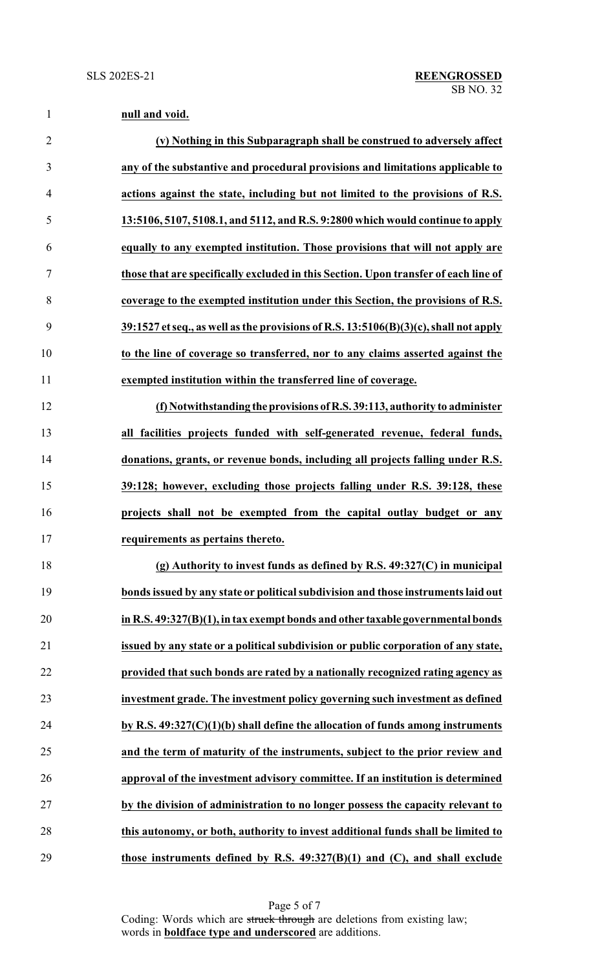| $\mathbf{1}$   | null and void.                                                                            |
|----------------|-------------------------------------------------------------------------------------------|
| $\overline{2}$ | (v) Nothing in this Subparagraph shall be construed to adversely affect                   |
| 3              | any of the substantive and procedural provisions and limitations applicable to            |
| $\overline{4}$ | actions against the state, including but not limited to the provisions of R.S.            |
| 5              | 13:5106, 5107, 5108.1, and 5112, and R.S. 9:2800 which would continue to apply            |
| 6              | equally to any exempted institution. Those provisions that will not apply are             |
| 7              | those that are specifically excluded in this Section. Upon transfer of each line of       |
| 8              | coverage to the exempted institution under this Section, the provisions of R.S.           |
| 9              | $39:1527$ et seq., as well as the provisions of R.S. $13:5106(B)(3)(c)$ , shall not apply |
| 10             | to the line of coverage so transferred, nor to any claims asserted against the            |
| 11             | exempted institution within the transferred line of coverage.                             |
| 12             | (f) Notwithstanding the provisions of R.S. 39:113, authority to administer                |
| 13             | all facilities projects funded with self-generated revenue, federal funds,                |
| 14             | donations, grants, or revenue bonds, including all projects falling under R.S.            |
| 15             | 39:128; however, excluding those projects falling under R.S. 39:128, these                |
| 16             | projects shall not be exempted from the capital outlay budget or any                      |
| 17             | requirements as pertains thereto.                                                         |
| 18             | (g) Authority to invest funds as defined by R.S. $49:327(C)$ in municipal                 |
| 19             | bonds issued by any state or political subdivision and those instruments laid out         |
| 20             | in R.S. 49:327(B)(1), in tax exempt bonds and other taxable governmental bonds            |
| 21             | issued by any state or a political subdivision or public corporation of any state,        |
| 22             | provided that such bonds are rated by a nationally recognized rating agency as            |
| 23             | investment grade. The investment policy governing such investment as defined              |
| 24             | by R.S. $49:327(C)(1)(b)$ shall define the allocation of funds among instruments          |
| 25             | and the term of maturity of the instruments, subject to the prior review and              |
| 26             | approval of the investment advisory committee. If an institution is determined            |
| 27             | by the division of administration to no longer possess the capacity relevant to           |
| 28             | this autonomy, or both, authority to invest additional funds shall be limited to          |
| 29             | those instruments defined by R.S. $49:327(B)(1)$ and (C), and shall exclude               |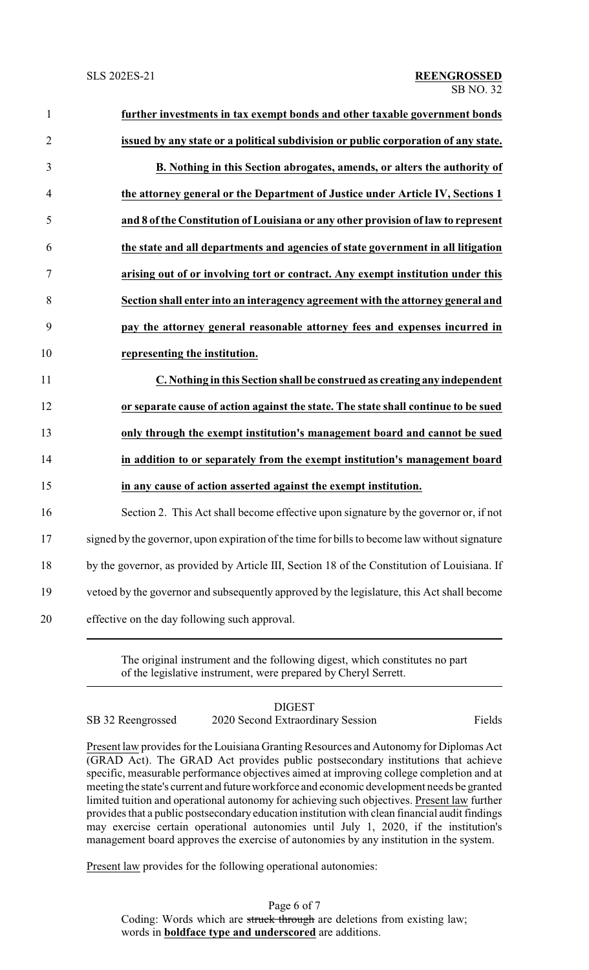| $\mathbf{1}$   | further investments in tax exempt bonds and other taxable government bonds                    |
|----------------|-----------------------------------------------------------------------------------------------|
| $\overline{2}$ | issued by any state or a political subdivision or public corporation of any state.            |
| 3              | B. Nothing in this Section abrogates, amends, or alters the authority of                      |
| $\overline{4}$ | the attorney general or the Department of Justice under Article IV, Sections 1                |
| 5              | and 8 of the Constitution of Louisiana or any other provision of law to represent             |
| 6              | the state and all departments and agencies of state government in all litigation              |
| 7              | arising out of or involving tort or contract. Any exempt institution under this               |
| 8              | Section shall enter into an interagency agreement with the attorney general and               |
| 9              | pay the attorney general reasonable attorney fees and expenses incurred in                    |
| 10             | representing the institution.                                                                 |
|                |                                                                                               |
| 11             | C. Nothing in this Section shall be construed as creating any independent                     |
| 12             | or separate cause of action against the state. The state shall continue to be sued            |
| 13             | only through the exempt institution's management board and cannot be sued                     |
| 14             | in addition to or separately from the exempt institution's management board                   |
| 15             | in any cause of action asserted against the exempt institution.                               |
| 16             | Section 2. This Act shall become effective upon signature by the governor or, if not          |
| 17             | signed by the governor, upon expiration of the time for bills to become law without signature |
| 18             | by the governor, as provided by Article III, Section 18 of the Constitution of Louisiana. If  |
| 19             | vetoed by the governor and subsequently approved by the legislature, this Act shall become    |

The original instrument and the following digest, which constitutes no part of the legislative instrument, were prepared by Cheryl Serrett.

DIGEST SB 32 Reengrossed 2020 Second Extraordinary Session Fields

Present law provides for the Louisiana Granting Resources and Autonomy for Diplomas Act (GRAD Act). The GRAD Act provides public postsecondary institutions that achieve specific, measurable performance objectives aimed at improving college completion and at meeting the state's current and futureworkforce and economic development needs be granted limited tuition and operational autonomy for achieving such objectives. Present law further provides that a public postsecondary education institution with clean financial audit findings may exercise certain operational autonomies until July 1, 2020, if the institution's management board approves the exercise of autonomies by any institution in the system.

Present law provides for the following operational autonomies:

Page 6 of 7 Coding: Words which are struck through are deletions from existing law; words in **boldface type and underscored** are additions.